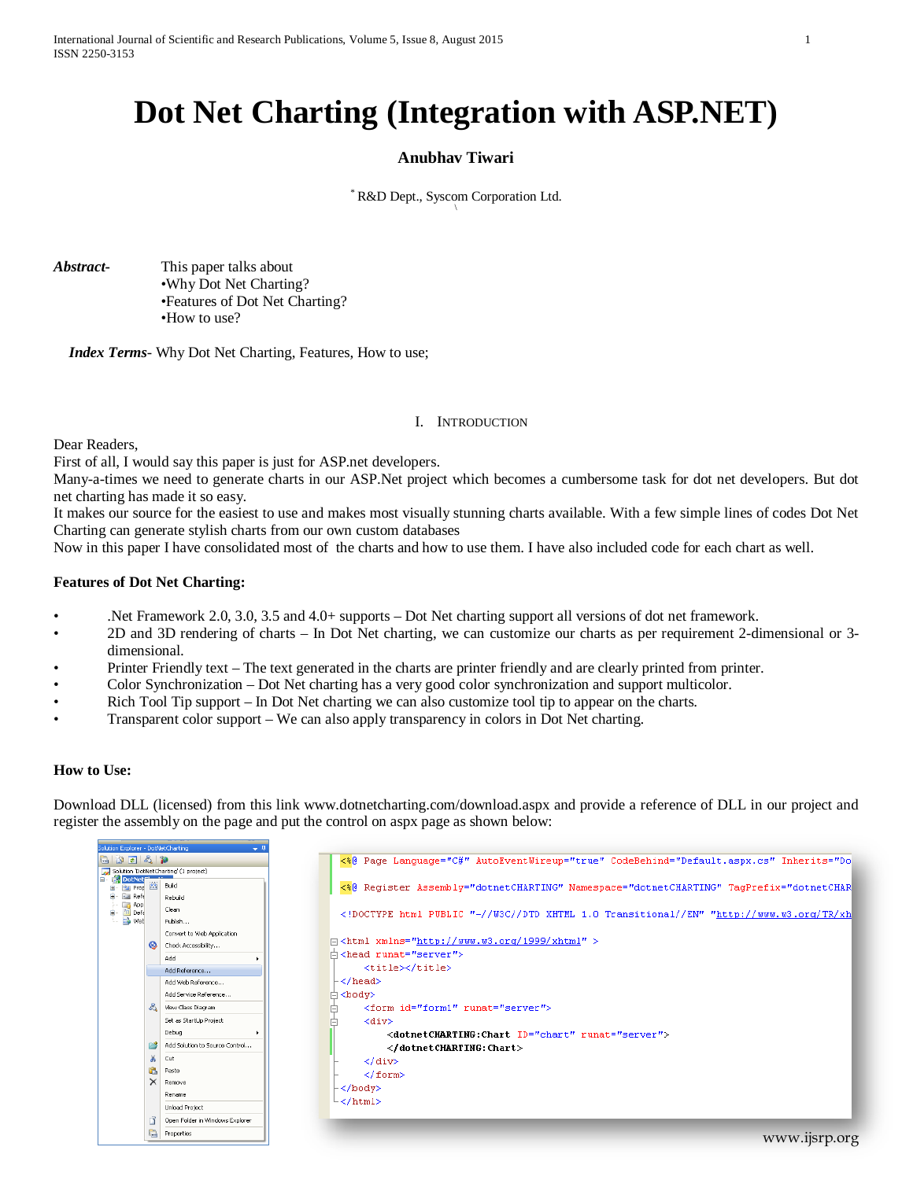# **Dot Net Charting (Integration with ASP.NET)**

# **Anubhav Tiwari**

\* R&D Dept., Syscom Corporation Ltd. \

*Abstract***-** This paper talks about •Why Dot Net Charting? •Features of Dot Net Charting? •How to use?

 *Index Terms*- Why Dot Net Charting, Features, How to use;

#### I. INTRODUCTION

Dear Readers,

First of all, I would say this paper is just for ASP.net developers.

Many-a-times we need to generate charts in our ASP.Net project which becomes a cumbersome task for dot net developers. But dot net charting has made it so easy.

It makes our source for the easiest to use and makes most visually stunning charts available. With a few simple lines of codes Dot Net Charting can generate stylish charts from our own custom databases

Now in this paper I have consolidated most of the charts and how to use them. I have also included code for each chart as well.

### **Features of Dot Net Charting:**

- .Net Framework 2.0, 3.0, 3.5 and 4.0+ supports Dot Net charting support all versions of dot net framework.
- 2D and 3D rendering of charts In Dot Net charting, we can customize our charts as per requirement 2-dimensional or 3 dimensional.
- Printer Friendly text The text generated in the charts are printer friendly and are clearly printed from printer.
- Color Synchronization Dot Net charting has a very good color synchronization and support multicolor.
- Rich Tool Tip support In Dot Net charting we can also customize tool tip to appear on the charts.
- Transparent color support We can also apply transparency in colors in Dot Net charting.

#### **How to Use:**

Download DLL (licensed) from this link www.dotnetcharting.com/download.aspx and provide a reference of DLL in our project and register the assembly on the page and put the control on aspx page as shown below:

| Solution Explorer - DotNetCharting             |                | $-1$                                  |                                                                                          |
|------------------------------------------------|----------------|---------------------------------------|------------------------------------------------------------------------------------------|
| bda a p                                        |                |                                       | <\8 Page Language="C#" AutoEventWireup="true" CodeBehind="Default.aspx.cs" Inherits="Do  |
|                                                |                | Solution 'DotNetCharting' (1 project) |                                                                                          |
| <b>DotNet<sup>e</sup></b><br><b>Prop</b><br>田… |                | Build                                 | <\$0 Register Assembly="dotnetCHARTING" Namespace="dotnetCHARTING" TagPrefix="dotnetCHAR |
| <b>Ref</b><br>≘.                               |                | Rebuild                               |                                                                                          |
| App<br>Def <sub>s</sub><br>₿.                  |                | Clean                                 | html PUBLIC "-//W3C//DTD XHTML 1.0 Transitional//EN" "http://www.w3.org/TR/xh</td        |
| <b>No</b> Web                                  |                | Publish                               |                                                                                          |
|                                                | $\circledcirc$ | Convert to Web Application            | $\exists$ <html xmlns="http://www.w3.org/1999/xhtml"></html>                             |
|                                                |                | Check Accessibility                   |                                                                                          |
|                                                |                | Add<br>٠                              | 中 <head_runat="server"></head_runat="server">                                            |
|                                                |                | Add Reference                         | <title></title>                                                                          |
|                                                |                | Add Web Reference                     | ⊦                                                                                        |
|                                                |                | Add Service Reference                 | ∣≐ ≺body>                                                                                |
|                                                | ది             | View Class Diagram                    | <form_id="form1"_runat="server"></form_id="form1"_runat="server">                        |
|                                                |                | Set as StartUp Project                | <div></div>                                                                              |
|                                                |                | Debug                                 | <dotnetcharting:chart id="chart" runat="server"></dotnetcharting:chart>                  |
|                                                |                | Add Solution to Source Control        |                                                                                          |
|                                                | ¥              | Cut                                   |                                                                                          |
|                                                | GB.            | Paste                                 |                                                                                          |
|                                                |                | Remove                                | $\langle$ /form>                                                                         |
|                                                |                | Rename                                | -                                                                                        |
|                                                |                | <b>Unload Project</b>                 | ∟                                                                                        |
|                                                |                | Open Folder in Windows Explorer       |                                                                                          |
|                                                | 囁              | Properties                            |                                                                                          |
|                                                |                |                                       | www.ijsrp.org                                                                            |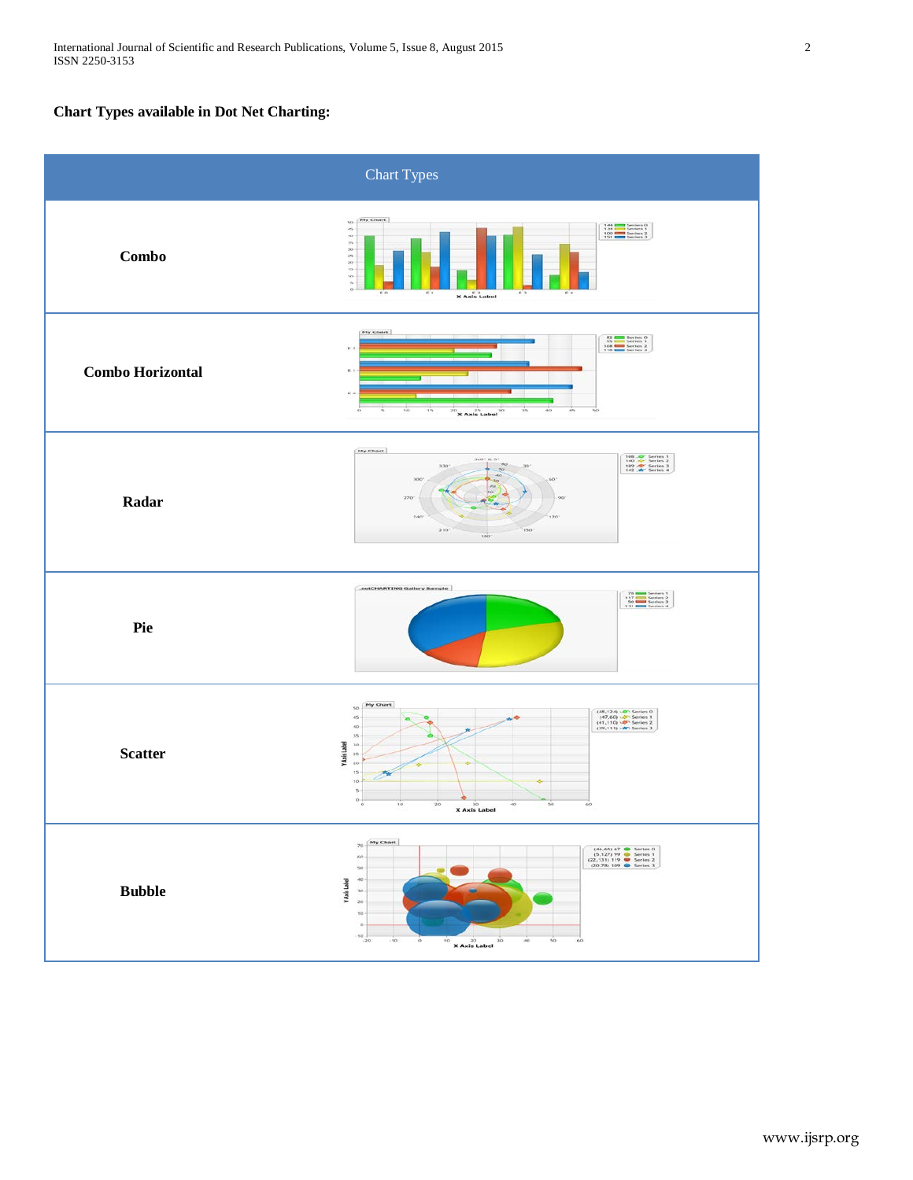# **Chart Types available in Dot Net Charting:**

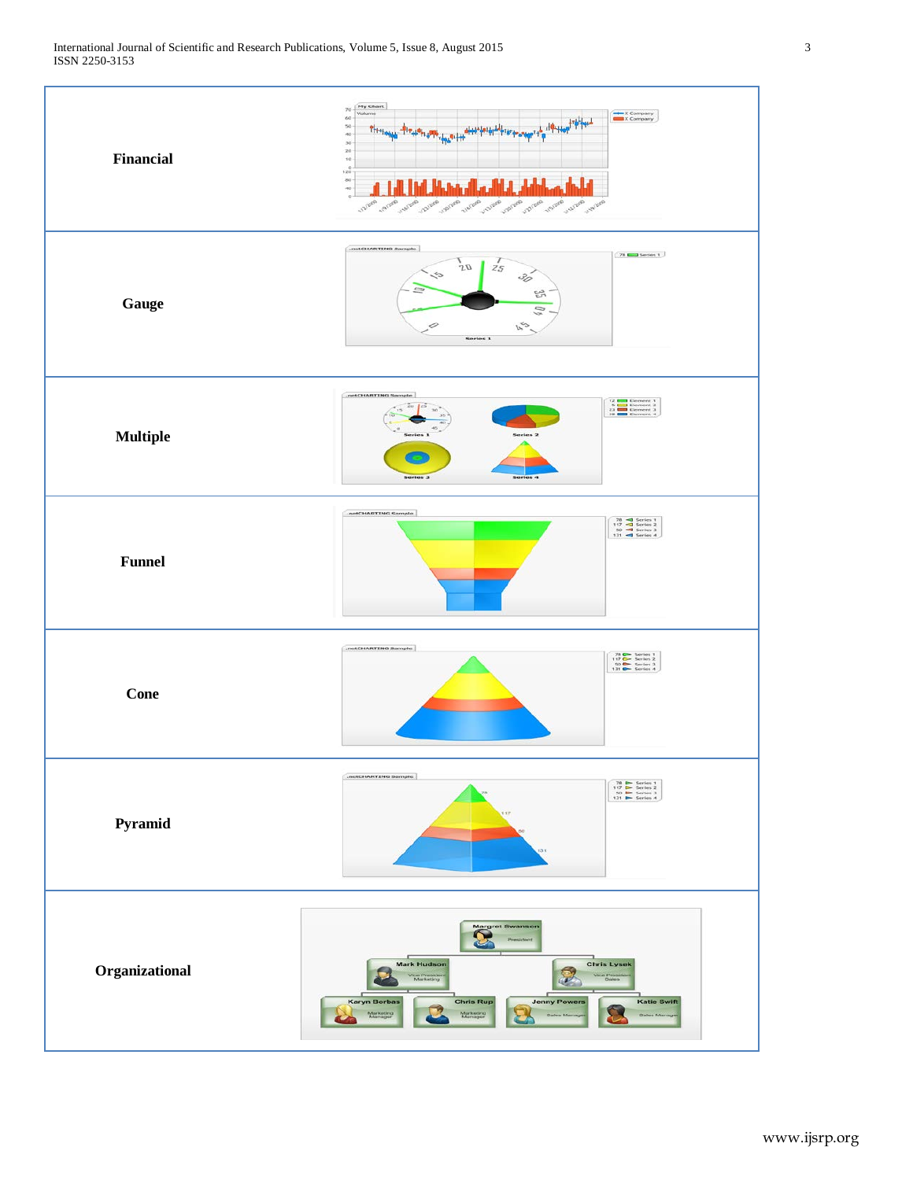

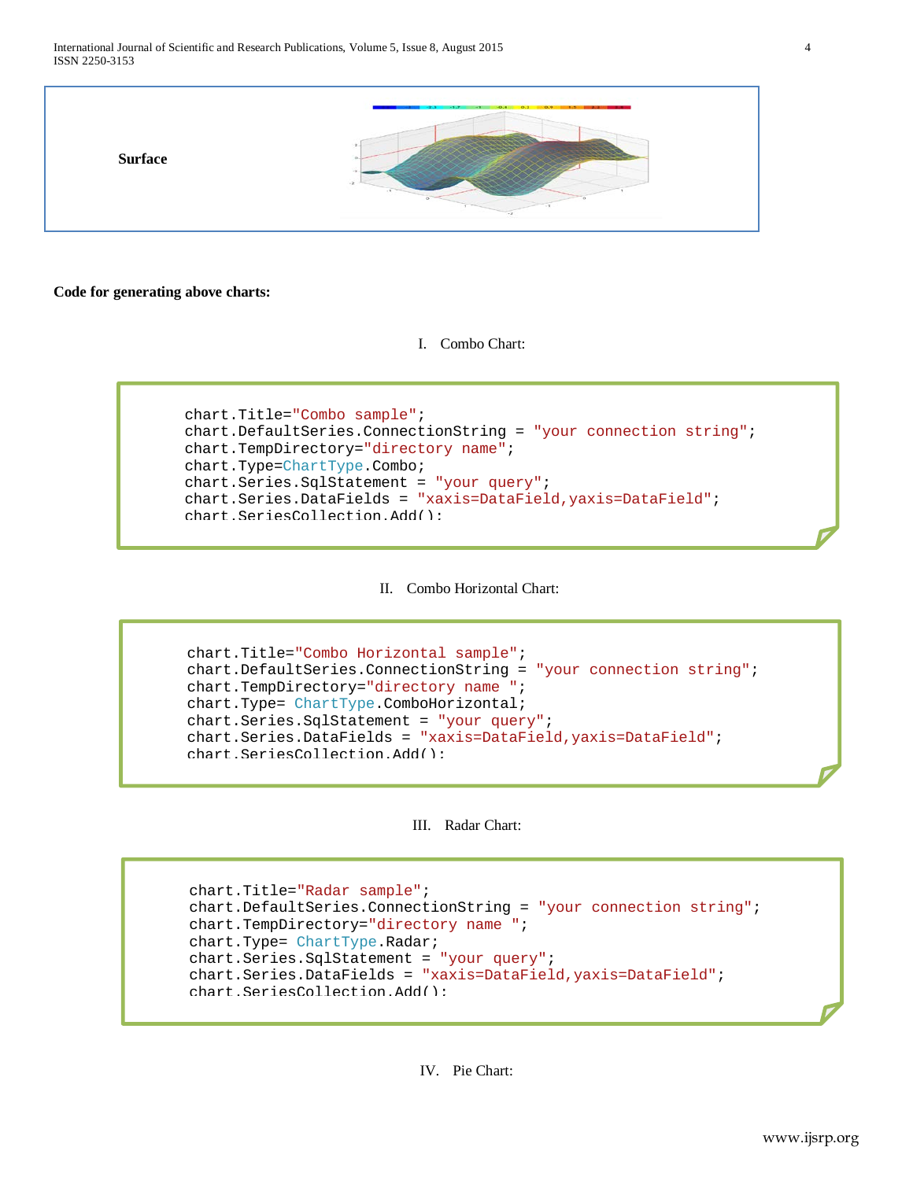**Code for generating above charts:**

I. Combo Chart:

```
chart.Title="Combo sample";
 chart.DefaultSeries.ConnectionString = "your connection string";
 chart.TempDirectory="directory name";
 chart.Type=ChartType.Combo;
 chart.Series.SqlStatement = "your query";
 chart.Series.DataFields = "xaxis=DataField,yaxis=DataField";
chart.SeriesCollection.Add();
```
II. Combo Horizontal Chart:

```
chart.Title="Combo Horizontal sample";
 chart.DefaultSeries.ConnectionString = "your connection string";
 chart.TempDirectory="directory name ";
 chart.Type= ChartType.ComboHorizontal;
 chart.Series.SqlStatement = "your query";
 chart.Series.DataFields = "xaxis=DataField,yaxis=DataField";
chart.SeriesCollection.Add();
```
### III. Radar Chart:

```
chart.Title="Radar sample";
 chart.DefaultSeries.ConnectionString = "your connection string";
 chart.TempDirectory="directory name ";
 chart.Type= ChartType.Radar;
 chart.Series.SqlStatement = "your query";
 chart.Series.DataFields = "xaxis=DataField,yaxis=DataField";
chart.SeriesCollection.Add();
```
IV. Pie Chart: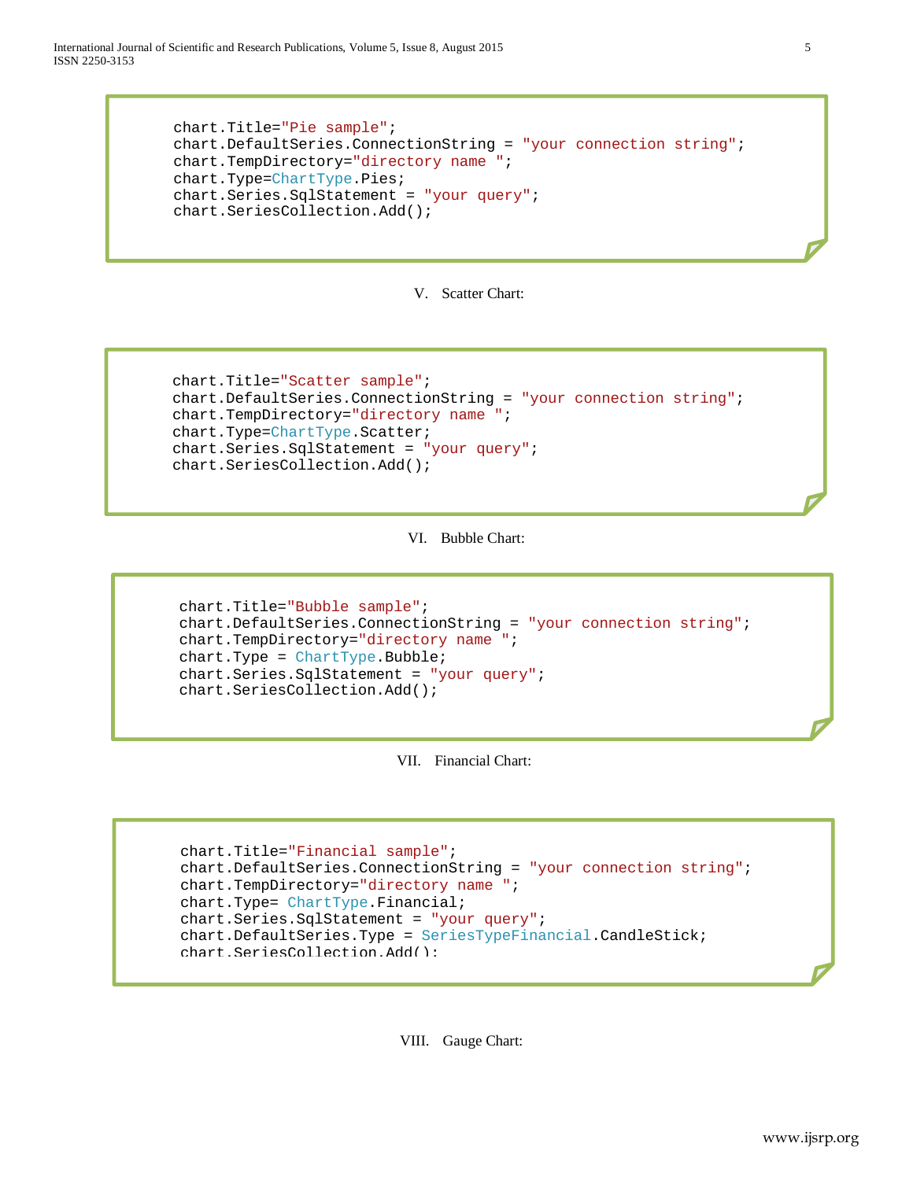International Journal of Scientific and Research Publications, Volume 5, Issue 8, August 2015 5 ISSN 2250-3153

```
chart.Title="Pie sample";
 chart.DefaultSeries.ConnectionString = "your connection string";
 chart.TempDirectory="directory name ";
 chart.Type=ChartType.Pies;
 chart.Series.SqlStatement = "your query";
chart.SeriesCollection.Add();
```
# V. Scatter Chart:

```
chart.Title="Scatter sample";
 chart.DefaultSeries.ConnectionString = "your connection string";
 chart.TempDirectory="directory name ";
 chart.Type=ChartType.Scatter;
 chart.Series.SqlStatement = "your query";
chart.SeriesCollection.Add();
```
VI. Bubble Chart:

```
chart.Title="Bubble sample";
 chart.DefaultSeries.ConnectionString = "your connection string";
 chart.TempDirectory="directory name ";
 chart.Type = ChartType.Bubble;
 chart.Series.SqlStatement = "your query";
chart.SeriesCollection.Add();
```
VII. Financial Chart:

```
chart.Title="Financial sample";
 chart.DefaultSeries.ConnectionString = "your connection string";
 chart.TempDirectory="directory name ";
 chart.Type= ChartType.Financial;
 chart.Series.SqlStatement = "your query";
 chart.DefaultSeries.Type = SeriesTypeFinancial.CandleStick;
chart.SeriesCollection.Add();
```
VIII. Gauge Chart: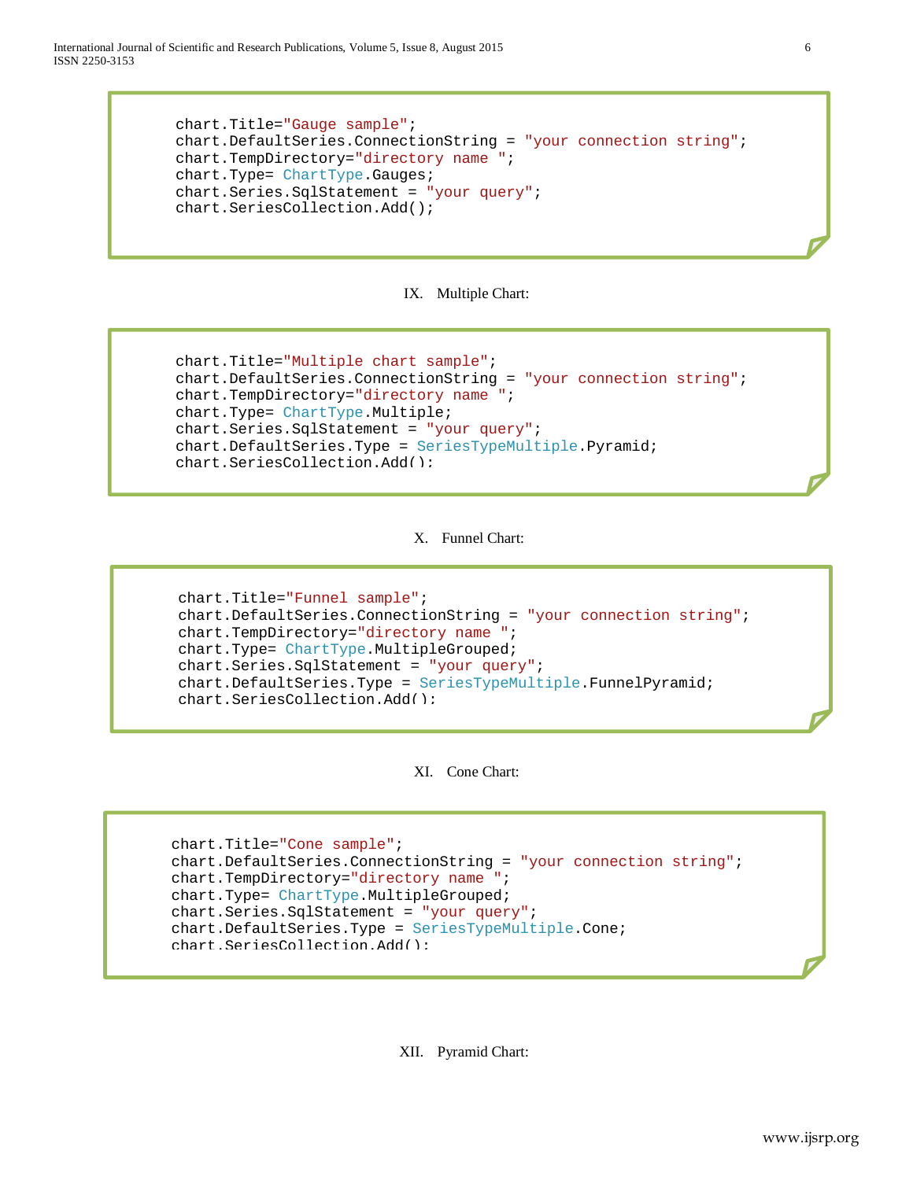International Journal of Scientific and Research Publications, Volume 5, Issue 8, August 2015 6 ISSN 2250-3153

```
chart.Title="Gauge sample";
 chart.DefaultSeries.ConnectionString = "your connection string";
 chart.TempDirectory="directory name ";
 chart.Type= ChartType.Gauges;
 chart.Series.SqlStatement = "your query";
chart.SeriesCollection.Add();
```


```
chart.Title="Multiple chart sample";
 chart.DefaultSeries.ConnectionString = "your connection string";
 chart.TempDirectory="directory name ";
 chart.Type= ChartType.Multiple;
 chart.Series.SqlStatement = "your query";
chart.DefaultSeries.Type = SeriesTypeMultiple.Pyramid;
chart.SeriesCollection.Add();
```
## X. Funnel Chart:

```
chart.Title="Funnel sample";
 chart.DefaultSeries.ConnectionString = "your connection string";
 chart.TempDirectory="directory name ";
 chart.Type= ChartType.MultipleGrouped;
 chart.Series.SqlStatement = "your query";
chart.DefaultSeries.Type = SeriesTypeMultiple.FunnelPyramid;
chart.SeriesCollection.Add();
```
XI. Cone Chart:

```
chart.Title="Cone sample";
 chart.DefaultSeries.ConnectionString = "your connection string";
 chart.TempDirectory="directory name ";
 chart.Type= ChartType.MultipleGrouped;
 chart.Series.SqlStatement = "your query";
 chart.DefaultSeries.Type = SeriesTypeMultiple.Cone;
chart.SeriesCollection.Add();
```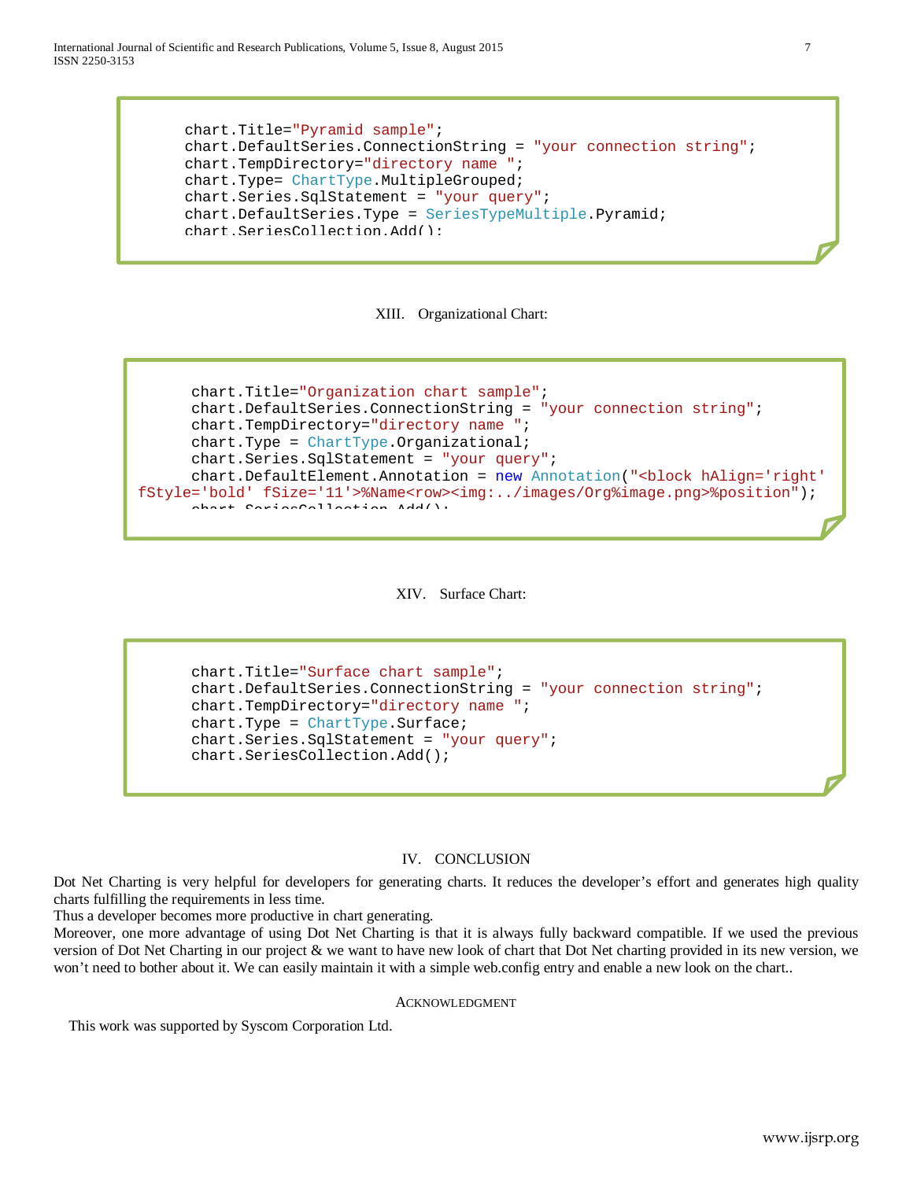International Journal of Scientific and Research Publications, Volume 5, Issue 8, August 2015 7 ISSN 2250-3153

```
chart.Title="Pyramid sample";
 chart.DefaultSeries.ConnectionString = "your connection string";
 chart.TempDirectory="directory name ";
 chart.Type= ChartType.MultipleGrouped;
 chart.Series.SqlStatement = "your query";
chart.DefaultSeries.Type = SeriesTypeMultiple.Pyramid;
chart.SeriesCollection.Add();
```


```
chart.Title="Organization chart sample";
       chart.DefaultSeries.ConnectionString = "your connection string";
       chart.TempDirectory="directory name ";
       chart.Type = ChartType.Organizational;
       chart.Series.SqlStatement = "your query";
      chart.DefaultElement.Annotation = new Annotation("<block hAlign='right' 
fStyle='bold' fSize='11'>%Name<row><img:../images/Org%image.png>%position");
      \lambdachart \DeltaeriesCollection Add();
```


chart.Title="Surface chart sample"; chart.DefaultSeries.ConnectionString = "your connection string"; chart.TempDirectory="directory name "; chart.Type = ChartType.Surface; chart.Series.SqlStatement = "your query"; chart.SeriesCollection.Add();

#### IV. CONCLUSION

Dot Net Charting is very helpful for developers for generating charts. It reduces the developer's effort and generates high quality charts fulfilling the requirements in less time.

Thus a developer becomes more productive in chart generating.

Moreover, one more advantage of using Dot Net Charting is that it is always fully backward compatible. If we used the previous version of Dot Net Charting in our project & we want to have new look of chart that Dot Net charting provided in its new version, we won't need to bother about it. We can easily maintain it with a simple web.config entry and enable a new look on the chart..

#### ACKNOWLEDGMENT

This work was supported by Syscom Corporation Ltd.